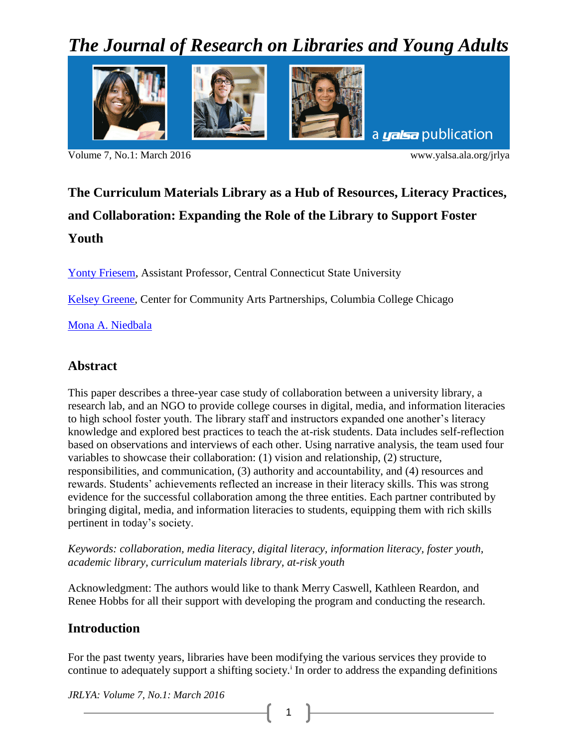# *The Journal of Research on Libraries and Young Adults*



Volume 7, No.1: March 2016 www.yalsa.ala.org/jrlya

# **The Curriculum Materials Library as a Hub of Resources, Literacy Practices, and Collaboration: Expanding the Role of the Library to Support Foster Youth**

[Yonty Friesem,](mailto:friesem@ccsu.edu) Assistant Professor, Central Connecticut State University

[Kelsey Greene,](mailto:kgreene@colum.edu) Center for Community Arts Partnerships, Columbia College Chicago

[Mona A. Niedbala](mailto:monaanne.niedbala@gmail.com)

## **Abstract**

This paper describes a three-year case study of collaboration between a university library, a research lab, and an NGO to provide college courses in digital, media, and information literacies to high school foster youth. The library staff and instructors expanded one another's literacy knowledge and explored best practices to teach the at-risk students. Data includes self-reflection based on observations and interviews of each other. Using narrative analysis, the team used four variables to showcase their collaboration: (1) vision and relationship, (2) structure, responsibilities, and communication, (3) authority and accountability, and (4) resources and rewards. Students' achievements reflected an increase in their literacy skills. This was strong evidence for the successful collaboration among the three entities. Each partner contributed by bringing digital, media, and information literacies to students, equipping them with rich skills pertinent in today's society.

*Keywords: collaboration, media literacy, digital literacy, information literacy, foster youth, academic library, curriculum materials library, at-risk youth*

Acknowledgment: The authors would like to thank Merry Caswell, Kathleen Reardon, and Renee Hobbs for all their support with developing the program and conducting the research.

## **Introduction**

For the past twenty years, libraries have been modifying the various services they provide to continue to adequately support a shifting society.<sup>i</sup> In order to address the expanding definitions

1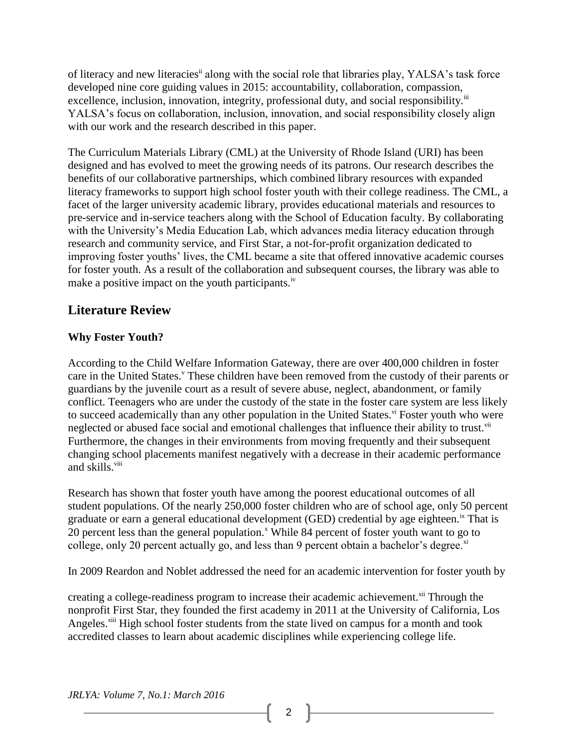of literacy and new literacies<sup>ii</sup> along with the social role that libraries play, YALSA's task force developed nine core guiding values in 2015: accountability, collaboration, compassion, excellence, inclusion, innovation, integrity, professional duty, and social responsibility.<sup>iii</sup> YALSA's focus on collaboration, inclusion, innovation, and social responsibility closely align with our work and the research described in this paper.

The Curriculum Materials Library (CML) at the University of Rhode Island (URI) has been designed and has evolved to meet the growing needs of its patrons. Our research describes the benefits of our collaborative partnerships, which combined library resources with expanded literacy frameworks to support high school foster youth with their college readiness. The CML, a facet of the larger university academic library, provides educational materials and resources to pre-service and in-service teachers along with the School of Education faculty. By collaborating with the University's Media Education Lab, which advances media literacy education through research and community service, and First Star, a not-for-profit organization dedicated to improving foster youths' lives, the CML became a site that offered innovative academic courses for foster youth. As a result of the collaboration and subsequent courses, the library was able to make a positive impact on the youth participants.<sup>iv</sup>

# **Literature Review**

### **Why Foster Youth?**

According to the Child Welfare Information Gateway, there are over 400,000 children in foster care in the United States.<sup>v</sup> These children have been removed from the custody of their parents or guardians by the juvenile court as a result of severe abuse, neglect, abandonment, or family conflict. Teenagers who are under the custody of the state in the foster care system are less likely to succeed academically than any other population in the United States.<sup>vi</sup> Foster youth who were neglected or abused face social and emotional challenges that influence their ability to trust.<sup>vii</sup> Furthermore, the changes in their environments from moving frequently and their subsequent changing school placements manifest negatively with a decrease in their academic performance and skills.<sup>viii</sup>

Research has shown that foster youth have among the poorest educational outcomes of all student populations. Of the nearly 250,000 foster children who are of school age, only 50 percent graduate or earn a general educational development (GED) credential by age eighteen.<sup>ix</sup> That is 20 percent less than the general population.<sup>x</sup> While 84 percent of foster youth want to go to college, only 20 percent actually go, and less than 9 percent obtain a bachelor's degree.<sup>xi</sup>

In 2009 Reardon and Noblet addressed the need for an academic intervention for foster youth by

creating a college-readiness program to increase their academic achievement.<sup>xii</sup> Through the nonprofit First Star, they founded the first academy in 2011 at the University of California, Los Angeles.<sup>xiii</sup> High school foster students from the state lived on campus for a month and took accredited classes to learn about academic disciplines while experiencing college life.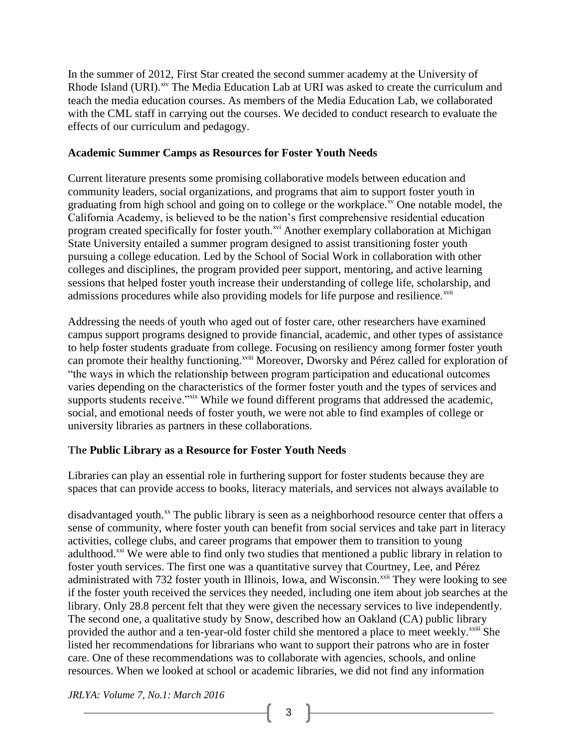In the summer of 2012, First Star created the second summer academy at the University of Rhode Island (URI).<sup>xiv</sup> The Media Education Lab at URI was asked to create the curriculum and teach the media education courses. As members of the Media Education Lab, we collaborated with the CML staff in carrying out the courses. We decided to conduct research to evaluate the effects of our curriculum and pedagogy.

#### **Academic Summer Camps as Resources for Foster Youth Needs**

Current literature presents some promising collaborative models between education and community leaders, social organizations, and programs that aim to support foster youth in graduating from high school and going on to college or the workplace. $x<sup>x</sup>$  One notable model, the California Academy, is believed to be the nation's first comprehensive residential education program created specifically for foster youth.<sup>xvi</sup> Another exemplary collaboration at Michigan State University entailed a summer program designed to assist transitioning foster youth pursuing a college education. Led by the School of Social Work in collaboration with other colleges and disciplines, the program provided peer support, mentoring, and active learning sessions that helped foster youth increase their understanding of college life, scholarship, and admissions procedures while also providing models for life purpose and resilience.<sup>xvii</sup>

Addressing the needs of youth who aged out of foster care, other researchers have examined campus support programs designed to provide financial, academic, and other types of assistance to help foster students graduate from college. Focusing on resiliency among former foster youth can promote their healthy functioning.<sup>xviii</sup> Moreover, Dworsky and Pérez called for exploration of "the ways in which the relationship between program participation and educational outcomes varies depending on the characteristics of the former foster youth and the types of services and supports students receive."<sup>xix</sup> While we found different programs that addressed the academic, social, and emotional needs of foster youth, we were not able to find examples of college or university libraries as partners in these collaborations.

#### **The Public Library as a Resource for Foster Youth Needs**

Libraries can play an essential role in furthering support for foster students because they are spaces that can provide access to books, literacy materials, and services not always available to

disadvantaged youth.<sup>xx</sup> The public library is seen as a neighborhood resource center that offers a sense of community, where foster youth can benefit from social services and take part in literacy activities, college clubs, and career programs that empower them to transition to young adulthood.<sup>xxi</sup> We were able to find only two studies that mentioned a public library in relation to foster youth services. The first one was a quantitative survey that Courtney, Lee, and Pérez administrated with 732 foster youth in Illinois, Iowa, and Wisconsin.<sup>xxii</sup> They were looking to see if the foster youth received the services they needed, including one item about job searches at the library. Only 28.8 percent felt that they were given the necessary services to live independently. The second one, a qualitative study by Snow, described how an Oakland (CA) public library provided the author and a ten-year-old foster child she mentored a place to meet weekly.<sup>xxiii</sup> She listed her recommendations for librarians who want to support their patrons who are in foster care. One of these recommendations was to collaborate with agencies, schools, and online resources. When we looked at school or academic libraries, we did not find any information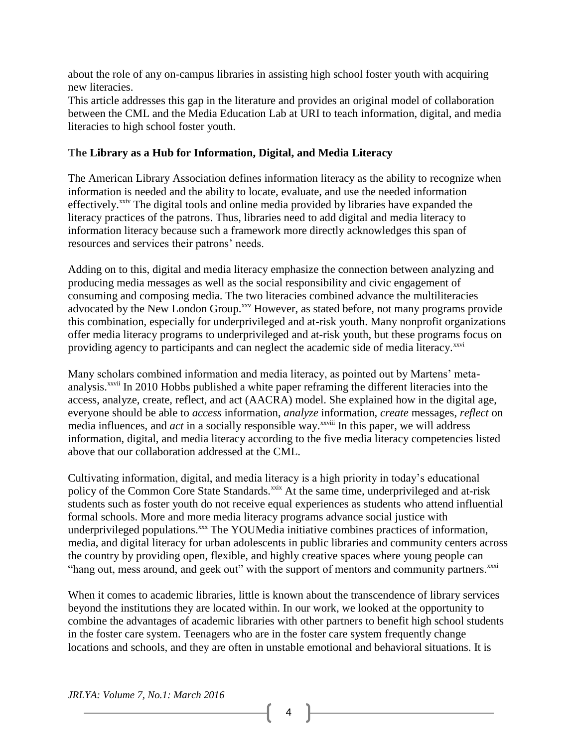about the role of any on-campus libraries in assisting high school foster youth with acquiring new literacies.

This article addresses this gap in the literature and provides an original model of collaboration between the CML and the Media Education Lab at URI to teach information, digital, and media literacies to high school foster youth.

#### **The Library as a Hub for Information, Digital, and Media Literacy**

The American Library Association defines information literacy as the ability to recognize when information is needed and the ability to locate, evaluate, and use the needed information effectively.<sup>xxiv</sup> The digital tools and online media provided by libraries have expanded the literacy practices of the patrons. Thus, libraries need to add digital and media literacy to information literacy because such a framework more directly acknowledges this span of resources and services their patrons' needs.

Adding on to this, digital and media literacy emphasize the connection between analyzing and producing media messages as well as the social responsibility and civic engagement of consuming and composing media. The two literacies combined advance the multiliteracies advocated by the New London Group.<sup>xxv</sup> However, as stated before, not many programs provide this combination, especially for underprivileged and at-risk youth. Many nonprofit organizations offer media literacy programs to underprivileged and at-risk youth, but these programs focus on providing agency to participants and can neglect the academic side of media literacy.<sup>xxvi</sup>

Many scholars combined information and media literacy, as pointed out by Martens' metaanalysis.<sup>xxvii</sup> In 2010 Hobbs published a white paper reframing the different literacies into the access, analyze, create, reflect, and act (AACRA) model. She explained how in the digital age, everyone should be able to *access* information, *analyze* information, *create* messages, *reflect* on media influences, and *act* in a socially responsible way.<sup>xxviii</sup> In this paper, we will address information, digital, and media literacy according to the five media literacy competencies listed above that our collaboration addressed at the CML.

Cultivating information, digital, and media literacy is a high priority in today's educational policy of the Common Core State Standards.<sup>xxix</sup> At the same time, underprivileged and at-risk students such as foster youth do not receive equal experiences as students who attend influential formal schools. More and more media literacy programs advance social justice with underprivileged populations.<sup>xxx</sup> The YOUMedia initiative combines practices of information, media, and digital literacy for urban adolescents in public libraries and community centers across the country by providing open, flexible, and highly creative spaces where young people can "hang out, mess around, and geek out" with the support of mentors and community partners.<sup>xxxi</sup>

When it comes to academic libraries, little is known about the transcendence of library services beyond the institutions they are located within. In our work, we looked at the opportunity to combine the advantages of academic libraries with other partners to benefit high school students in the foster care system. Teenagers who are in the foster care system frequently change locations and schools, and they are often in unstable emotional and behavioral situations. It is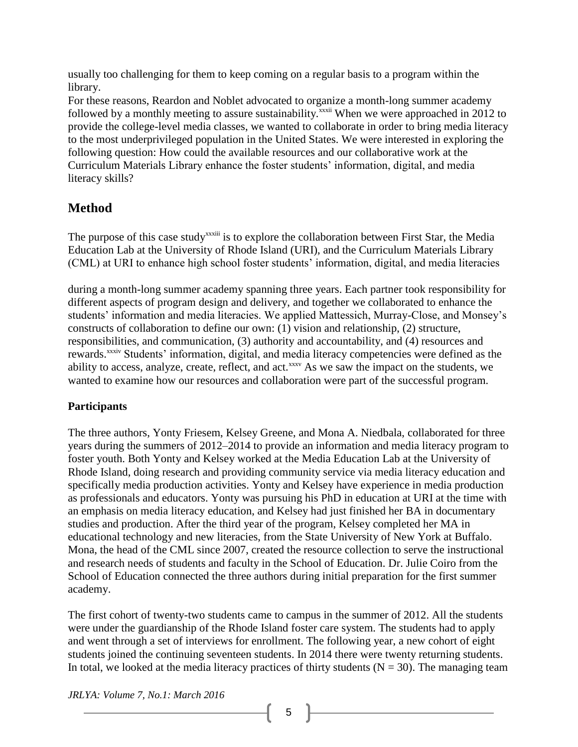usually too challenging for them to keep coming on a regular basis to a program within the library.

For these reasons, Reardon and Noblet advocated to organize a month-long summer academy followed by a monthly meeting to assure sustainability.<sup>xxxii</sup> When we were approached in 2012 to provide the college-level media classes, we wanted to collaborate in order to bring media literacy to the most underprivileged population in the United States. We were interested in exploring the following question: How could the available resources and our collaborative work at the Curriculum Materials Library enhance the foster students' information, digital, and media literacy skills?

# **Method**

The purpose of this case study<sup>xxxiii</sup> is to explore the collaboration between First Star, the Media Education Lab at the University of Rhode Island (URI), and the Curriculum Materials Library (CML) at URI to enhance high school foster students' information, digital, and media literacies

during a month-long summer academy spanning three years. Each partner took responsibility for different aspects of program design and delivery, and together we collaborated to enhance the students' information and media literacies. We applied Mattessich, Murray-Close, and Monsey's constructs of collaboration to define our own: (1) vision and relationship, (2) structure, responsibilities, and communication, (3) authority and accountability, and (4) resources and rewards.<sup>xxxiv</sup> Students' information, digital, and media literacy competencies were defined as the ability to access, analyze, create, reflect, and act.<sup>xxxv</sup> As we saw the impact on the students, we wanted to examine how our resources and collaboration were part of the successful program.

## **Participants**

The three authors, Yonty Friesem, Kelsey Greene, and Mona A. Niedbala, collaborated for three years during the summers of 2012–2014 to provide an information and media literacy program to foster youth. Both Yonty and Kelsey worked at the Media Education Lab at the University of Rhode Island, doing research and providing community service via media literacy education and specifically media production activities. Yonty and Kelsey have experience in media production as professionals and educators. Yonty was pursuing his PhD in education at URI at the time with an emphasis on media literacy education, and Kelsey had just finished her BA in documentary studies and production. After the third year of the program, Kelsey completed her MA in educational technology and new literacies, from the State University of New York at Buffalo. Mona, the head of the CML since 2007, created the resource collection to serve the instructional and research needs of students and faculty in the School of Education. Dr. Julie Coiro from the School of Education connected the three authors during initial preparation for the first summer academy.

The first cohort of twenty-two students came to campus in the summer of 2012. All the students were under the guardianship of the Rhode Island foster care system. The students had to apply and went through a set of interviews for enrollment. The following year, a new cohort of eight students joined the continuing seventeen students. In 2014 there were twenty returning students. In total, we looked at the media literacy practices of thirty students ( $N = 30$ ). The managing team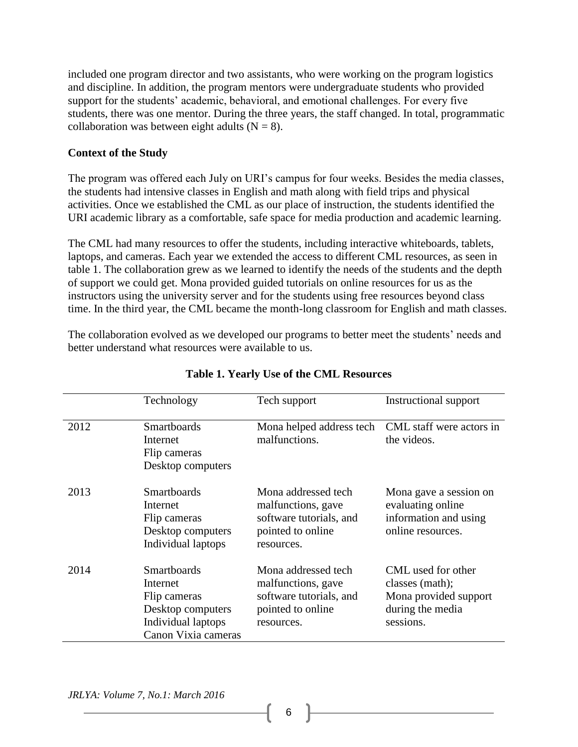included one program director and two assistants, who were working on the program logistics and discipline. In addition, the program mentors were undergraduate students who provided support for the students' academic, behavioral, and emotional challenges. For every five students, there was one mentor. During the three years, the staff changed. In total, programmatic collaboration was between eight adults  $(N = 8)$ .

#### **Context of the Study**

The program was offered each July on URI's campus for four weeks. Besides the media classes, the students had intensive classes in English and math along with field trips and physical activities. Once we established the CML as our place of instruction, the students identified the URI academic library as a comfortable, safe space for media production and academic learning.

The CML had many resources to offer the students, including interactive whiteboards, tablets, laptops, and cameras. Each year we extended the access to different CML resources, as seen in table 1. The collaboration grew as we learned to identify the needs of the students and the depth of support we could get. Mona provided guided tutorials on online resources for us as the instructors using the university server and for the students using free resources beyond class time. In the third year, the CML became the month-long classroom for English and math classes.

The collaboration evolved as we developed our programs to better meet the students' needs and better understand what resources were available to us.

|      | Technology          | Tech support             | Instructional support    |
|------|---------------------|--------------------------|--------------------------|
|      |                     |                          |                          |
| 2012 | Smartboards         | Mona helped address tech | CML staff were actors in |
|      | Internet            | malfunctions.            | the videos.              |
|      | Flip cameras        |                          |                          |
|      | Desktop computers   |                          |                          |
| 2013 | <b>Smarthoards</b>  | Mona addressed tech      | Mona gave a session on   |
|      | Internet            | malfunctions, gave       | evaluating online        |
|      | Flip cameras        | software tutorials, and  | information and using    |
|      | Desktop computers   | pointed to online        | online resources.        |
|      | Individual laptops  | resources.               |                          |
| 2014 | <b>Smartboards</b>  | Mona addressed tech      | CML used for other       |
|      | Internet            | malfunctions, gave       | classes (math);          |
|      | Flip cameras        | software tutorials, and  | Mona provided support    |
|      | Desktop computers   | pointed to online        | during the media         |
|      | Individual laptops  | resources.               | sessions.                |
|      | Canon Vixia cameras |                          |                          |

#### **Table 1. Yearly Use of the CML Resources**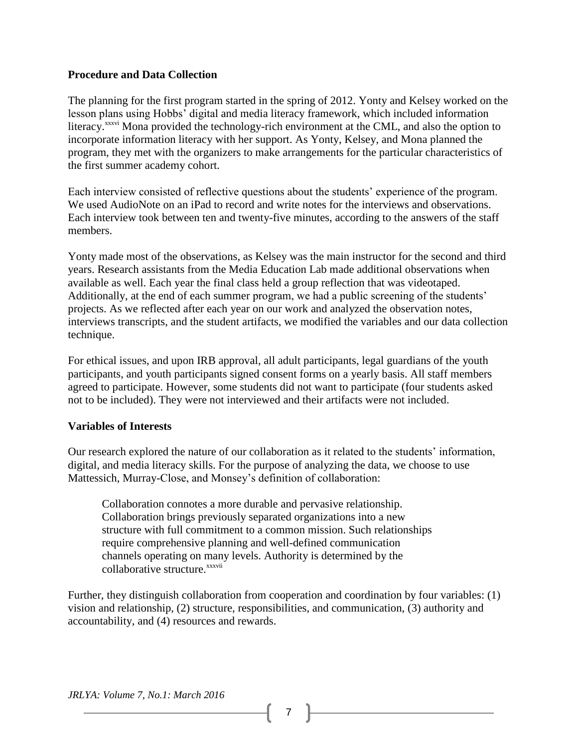#### **Procedure and Data Collection**

The planning for the first program started in the spring of 2012. Yonty and Kelsey worked on the lesson plans using Hobbs' digital and media literacy framework, which included information literacy.<sup>xxxvi</sup> Mona provided the technology-rich environment at the CML, and also the option to incorporate information literacy with her support. As Yonty, Kelsey, and Mona planned the program, they met with the organizers to make arrangements for the particular characteristics of the first summer academy cohort.

Each interview consisted of reflective questions about the students' experience of the program. We used AudioNote on an iPad to record and write notes for the interviews and observations. Each interview took between ten and twenty-five minutes, according to the answers of the staff members.

Yonty made most of the observations, as Kelsey was the main instructor for the second and third years. Research assistants from the Media Education Lab made additional observations when available as well. Each year the final class held a group reflection that was videotaped. Additionally, at the end of each summer program, we had a public screening of the students' projects. As we reflected after each year on our work and analyzed the observation notes, interviews transcripts, and the student artifacts, we modified the variables and our data collection technique.

For ethical issues, and upon IRB approval, all adult participants, legal guardians of the youth participants, and youth participants signed consent forms on a yearly basis. All staff members agreed to participate. However, some students did not want to participate (four students asked not to be included). They were not interviewed and their artifacts were not included.

#### **Variables of Interests**

Our research explored the nature of our collaboration as it related to the students' information, digital, and media literacy skills. For the purpose of analyzing the data, we choose to use Mattessich, Murray-Close, and Monsey's definition of collaboration:

Collaboration connotes a more durable and pervasive relationship. Collaboration brings previously separated organizations into a new structure with full commitment to a common mission. Such relationships require comprehensive planning and well-defined communication channels operating on many levels. Authority is determined by the collaborative structure.<sup>xxxvii</sup>

Further, they distinguish collaboration from cooperation and coordination by four variables: (1) vision and relationship, (2) structure, responsibilities, and communication, (3) authority and accountability, and (4) resources and rewards.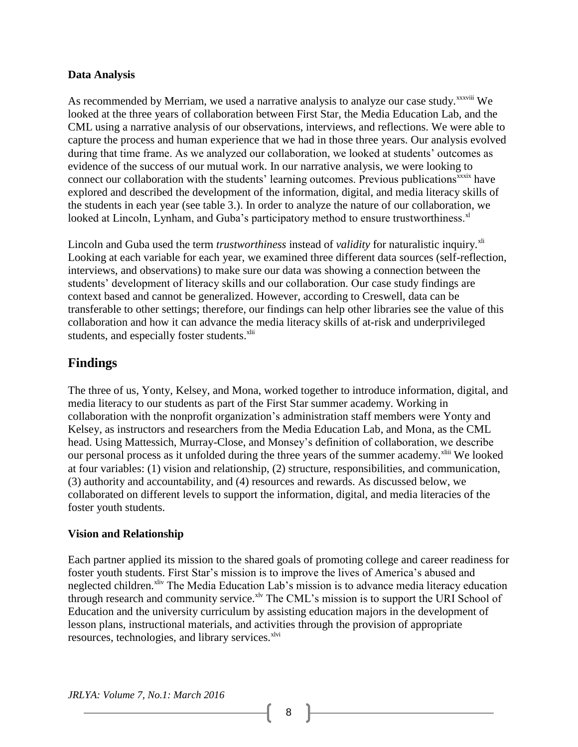#### **Data Analysis**

As recommended by Merriam, we used a narrative analysis to analyze our case study.<sup>xxxviii</sup> We looked at the three years of collaboration between First Star, the Media Education Lab, and the CML using a narrative analysis of our observations, interviews, and reflections. We were able to capture the process and human experience that we had in those three years. Our analysis evolved during that time frame. As we analyzed our collaboration, we looked at students' outcomes as evidence of the success of our mutual work. In our narrative analysis, we were looking to connect our collaboration with the students' learning outcomes. Previous publications<sup>xxxix</sup> have explored and described the development of the information, digital, and media literacy skills of the students in each year (see table 3.). In order to analyze the nature of our collaboration, we looked at Lincoln, Lynham, and Guba's participatory method to ensure trustworthiness.<sup>xl</sup>

Lincoln and Guba used the term *trustworthiness* instead of *validity* for naturalistic inquiry.<sup>xli</sup> Looking at each variable for each year, we examined three different data sources (self-reflection, interviews, and observations) to make sure our data was showing a connection between the students' development of literacy skills and our collaboration. Our case study findings are context based and cannot be generalized. However, according to Creswell, data can be transferable to other settings; therefore, our findings can help other libraries see the value of this collaboration and how it can advance the media literacy skills of at-risk and underprivileged students, and especially foster students.<sup>xlii</sup>

## **Findings**

The three of us, Yonty, Kelsey, and Mona, worked together to introduce information, digital, and media literacy to our students as part of the First Star summer academy. Working in collaboration with the nonprofit organization's administration staff members were Yonty and Kelsey, as instructors and researchers from the Media Education Lab, and Mona, as the CML head. Using Mattessich, Murray-Close, and Monsey's definition of collaboration, we describe our personal process as it unfolded during the three years of the summer academy.<sup>xliii</sup> We looked at four variables: (1) vision and relationship, (2) structure, responsibilities, and communication, (3) authority and accountability, and (4) resources and rewards. As discussed below, we collaborated on different levels to support the information, digital, and media literacies of the foster youth students.

#### **Vision and Relationship**

Each partner applied its mission to the shared goals of promoting college and career readiness for foster youth students. First Star's mission is to improve the lives of America's abused and neglected children.<sup>xliv</sup> The Media Education Lab's mission is to advance media literacy education through research and community service. $x^1$ <sup>V</sup> The CML's mission is to support the URI School of Education and the university curriculum by assisting education majors in the development of lesson plans, instructional materials, and activities through the provision of appropriate resources, technologies, and library services.<sup>xlvi</sup>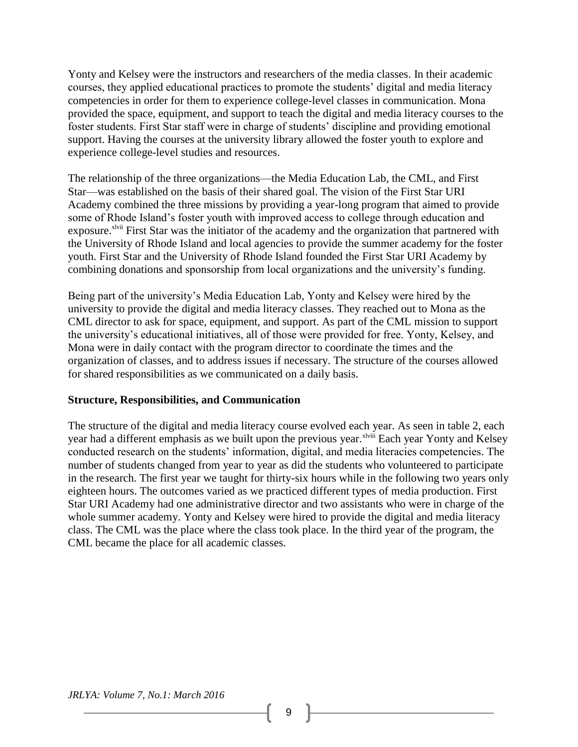Yonty and Kelsey were the instructors and researchers of the media classes. In their academic courses, they applied educational practices to promote the students' digital and media literacy competencies in order for them to experience college-level classes in communication. Mona provided the space, equipment, and support to teach the digital and media literacy courses to the foster students. First Star staff were in charge of students' discipline and providing emotional support. Having the courses at the university library allowed the foster youth to explore and experience college-level studies and resources.

The relationship of the three organizations—the Media Education Lab, the CML, and First Star—was established on the basis of their shared goal. The vision of the First Star URI Academy combined the three missions by providing a year-long program that aimed to provide some of Rhode Island's foster youth with improved access to college through education and exposure.<sup>xlvii</sup> First Star was the initiator of the academy and the organization that partnered with the University of Rhode Island and local agencies to provide the summer academy for the foster youth. First Star and the University of Rhode Island founded the First Star URI Academy by combining donations and sponsorship from local organizations and the university's funding.

Being part of the university's Media Education Lab, Yonty and Kelsey were hired by the university to provide the digital and media literacy classes. They reached out to Mona as the CML director to ask for space, equipment, and support. As part of the CML mission to support the university's educational initiatives, all of those were provided for free. Yonty, Kelsey, and Mona were in daily contact with the program director to coordinate the times and the organization of classes, and to address issues if necessary. The structure of the courses allowed for shared responsibilities as we communicated on a daily basis.

#### **Structure, Responsibilities, and Communication**

The structure of the digital and media literacy course evolved each year. As seen in table 2, each year had a different emphasis as we built upon the previous year.<sup>xlviii</sup> Each year Yonty and Kelsey conducted research on the students' information, digital, and media literacies competencies. The number of students changed from year to year as did the students who volunteered to participate in the research. The first year we taught for thirty-six hours while in the following two years only eighteen hours. The outcomes varied as we practiced different types of media production. First Star URI Academy had one administrative director and two assistants who were in charge of the whole summer academy. Yonty and Kelsey were hired to provide the digital and media literacy class. The CML was the place where the class took place. In the third year of the program, the CML became the place for all academic classes.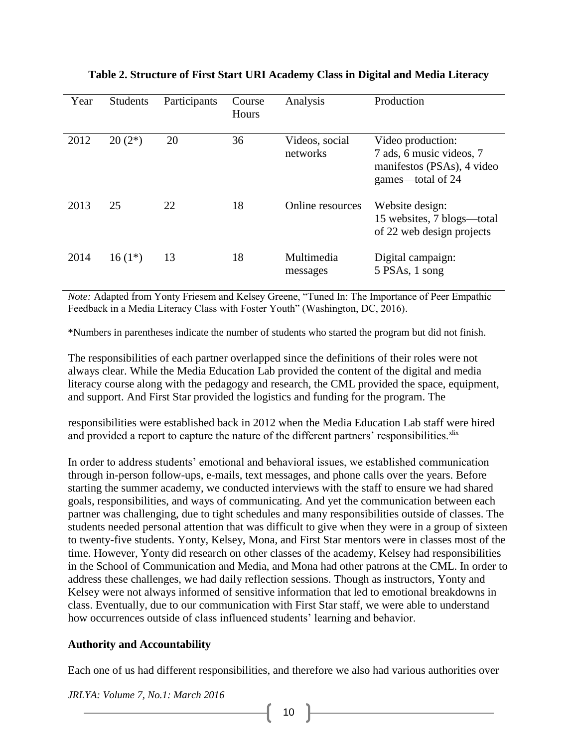| Year | <b>Students</b> | Participants | Course<br>Hours | Analysis                   | Production                                                                                       |
|------|-----------------|--------------|-----------------|----------------------------|--------------------------------------------------------------------------------------------------|
| 2012 | $20(2*)$        | 20           | 36              | Videos, social<br>networks | Video production:<br>7 ads, 6 music videos, 7<br>manifestos (PSAs), 4 video<br>games—total of 24 |
| 2013 | 25              | 22           | 18              | Online resources           | Website design:<br>15 websites, 7 blogs—total<br>of 22 web design projects                       |
| 2014 | $16(1*)$        | 13           | 18              | Multimedia<br>messages     | Digital campaign:<br>5 PSAs, 1 song                                                              |

**Table 2. Structure of First Start URI Academy Class in Digital and Media Literacy**

*Note:* Adapted from Yonty Friesem and Kelsey Greene, "Tuned In: The Importance of Peer Empathic Feedback in a Media Literacy Class with Foster Youth" (Washington, DC, 2016).

\*Numbers in parentheses indicate the number of students who started the program but did not finish.

The responsibilities of each partner overlapped since the definitions of their roles were not always clear. While the Media Education Lab provided the content of the digital and media literacy course along with the pedagogy and research, the CML provided the space, equipment, and support. And First Star provided the logistics and funding for the program. The

responsibilities were established back in 2012 when the Media Education Lab staff were hired and provided a report to capture the nature of the different partners' responsibilities.<sup>xlix</sup>

In order to address students' emotional and behavioral issues, we established communication through in-person follow-ups, e-mails, text messages, and phone calls over the years. Before starting the summer academy, we conducted interviews with the staff to ensure we had shared goals, responsibilities, and ways of communicating. And yet the communication between each partner was challenging, due to tight schedules and many responsibilities outside of classes. The students needed personal attention that was difficult to give when they were in a group of sixteen to twenty-five students. Yonty, Kelsey, Mona, and First Star mentors were in classes most of the time. However, Yonty did research on other classes of the academy, Kelsey had responsibilities in the School of Communication and Media, and Mona had other patrons at the CML. In order to address these challenges, we had daily reflection sessions. Though as instructors, Yonty and Kelsey were not always informed of sensitive information that led to emotional breakdowns in class. Eventually, due to our communication with First Star staff, we were able to understand how occurrences outside of class influenced students' learning and behavior.

#### **Authority and Accountability**

Each one of us had different responsibilities, and therefore we also had various authorities over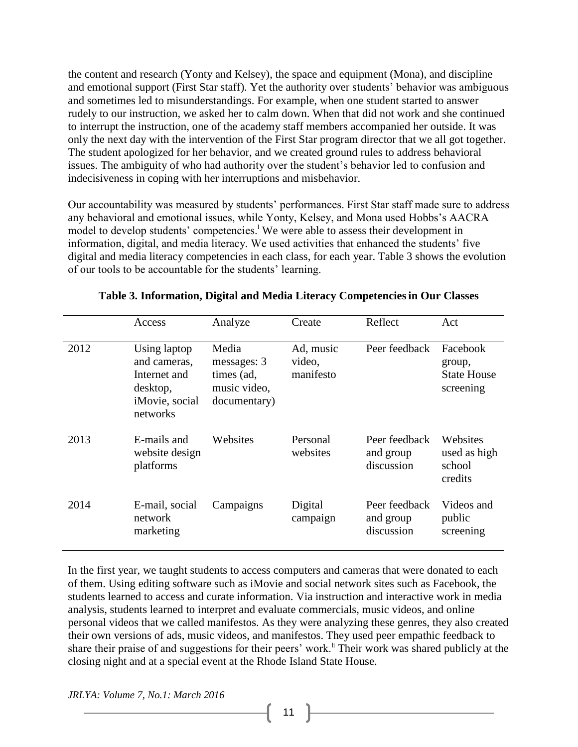the content and research (Yonty and Kelsey), the space and equipment (Mona), and discipline and emotional support (First Star staff). Yet the authority over students' behavior was ambiguous and sometimes led to misunderstandings. For example, when one student started to answer rudely to our instruction, we asked her to calm down. When that did not work and she continued to interrupt the instruction, one of the academy staff members accompanied her outside. It was only the next day with the intervention of the First Star program director that we all got together. The student apologized for her behavior, and we created ground rules to address behavioral issues. The ambiguity of who had authority over the student's behavior led to confusion and indecisiveness in coping with her interruptions and misbehavior.

Our accountability was measured by students' performances. First Star staff made sure to address any behavioral and emotional issues, while Yonty, Kelsey, and Mona used Hobbs's AACRA model to develop students' competencies.<sup>1</sup> We were able to assess their development in information, digital, and media literacy. We used activities that enhanced the students' five digital and media literacy competencies in each class, for each year. Table 3 shows the evolution of our tools to be accountable for the students' learning.

|      | Access                                                                                 | Analyze                                                            | Create                           | Reflect                                  | Act                                                   |
|------|----------------------------------------------------------------------------------------|--------------------------------------------------------------------|----------------------------------|------------------------------------------|-------------------------------------------------------|
| 2012 | Using laptop<br>and cameras,<br>Internet and<br>desktop,<br>iMovie, social<br>networks | Media<br>messages: 3<br>times (ad,<br>music video,<br>documentary) | Ad, music<br>video,<br>manifesto | Peer feedback                            | Facebook<br>group,<br><b>State House</b><br>screening |
| 2013 | E-mails and<br>website design<br>platforms                                             | Websites                                                           | Personal<br>websites             | Peer feedback<br>and group<br>discussion | Websites<br>used as high<br>school<br>credits         |
| 2014 | E-mail, social<br>network<br>marketing                                                 | Campaigns                                                          | Digital<br>campaign              | Peer feedback<br>and group<br>discussion | Videos and<br>public<br>screening                     |

**Table 3. Information, Digital and Media Literacy Competenciesin Our Classes**

In the first year, we taught students to access computers and cameras that were donated to each of them. Using editing software such as iMovie and social network sites such as Facebook, the students learned to access and curate information. Via instruction and interactive work in media analysis, students learned to interpret and evaluate commercials, music videos, and online personal videos that we called manifestos. As they were analyzing these genres, they also created their own versions of ads, music videos, and manifestos. They used peer empathic feedback to share their praise of and suggestions for their peers' work.<sup>It</sup> Their work was shared publicly at the closing night and at a special event at the Rhode Island State House.

 $11$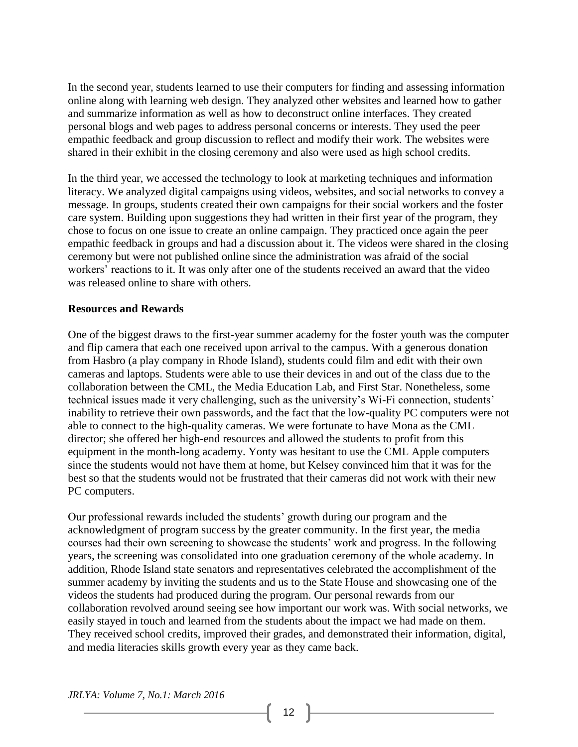In the second year, students learned to use their computers for finding and assessing information online along with learning web design. They analyzed other websites and learned how to gather and summarize information as well as how to deconstruct online interfaces. They created personal blogs and web pages to address personal concerns or interests. They used the peer empathic feedback and group discussion to reflect and modify their work. The websites were shared in their exhibit in the closing ceremony and also were used as high school credits.

In the third year, we accessed the technology to look at marketing techniques and information literacy. We analyzed digital campaigns using videos, websites, and social networks to convey a message. In groups, students created their own campaigns for their social workers and the foster care system. Building upon suggestions they had written in their first year of the program, they chose to focus on one issue to create an online campaign. They practiced once again the peer empathic feedback in groups and had a discussion about it. The videos were shared in the closing ceremony but were not published online since the administration was afraid of the social workers' reactions to it. It was only after one of the students received an award that the video was released online to share with others.

#### **Resources and Rewards**

One of the biggest draws to the first-year summer academy for the foster youth was the computer and flip camera that each one received upon arrival to the campus. With a generous donation from Hasbro (a play company in Rhode Island), students could film and edit with their own cameras and laptops. Students were able to use their devices in and out of the class due to the collaboration between the CML, the Media Education Lab, and First Star. Nonetheless, some technical issues made it very challenging, such as the university's Wi-Fi connection, students' inability to retrieve their own passwords, and the fact that the low-quality PC computers were not able to connect to the high-quality cameras. We were fortunate to have Mona as the CML director; she offered her high-end resources and allowed the students to profit from this equipment in the month-long academy. Yonty was hesitant to use the CML Apple computers since the students would not have them at home, but Kelsey convinced him that it was for the best so that the students would not be frustrated that their cameras did not work with their new PC computers.

Our professional rewards included the students' growth during our program and the acknowledgment of program success by the greater community. In the first year, the media courses had their own screening to showcase the students' work and progress. In the following years, the screening was consolidated into one graduation ceremony of the whole academy. In addition, Rhode Island state senators and representatives celebrated the accomplishment of the summer academy by inviting the students and us to the State House and showcasing one of the videos the students had produced during the program. Our personal rewards from our collaboration revolved around seeing see how important our work was. With social networks, we easily stayed in touch and learned from the students about the impact we had made on them. They received school credits, improved their grades, and demonstrated their information, digital, and media literacies skills growth every year as they came back.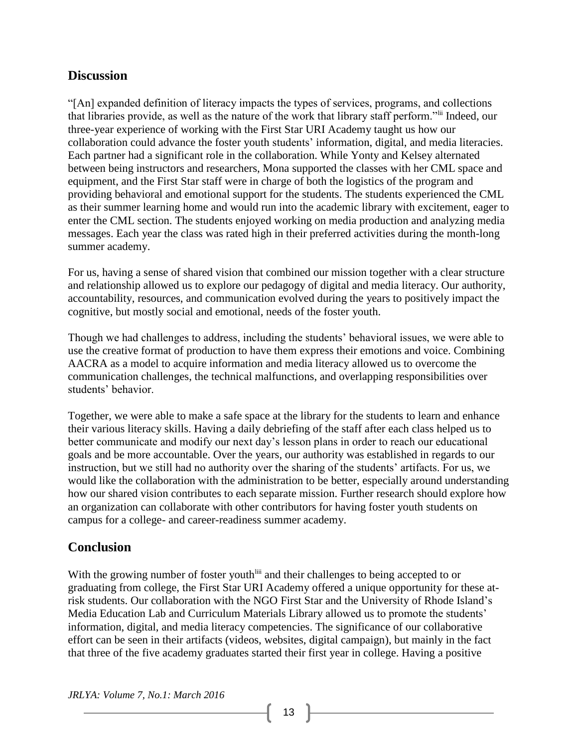## **Discussion**

"[An] expanded definition of literacy impacts the types of services, programs, and collections that libraries provide, as well as the nature of the work that library staff perform."lii Indeed, our three-year experience of working with the First Star URI Academy taught us how our collaboration could advance the foster youth students' information, digital, and media literacies. Each partner had a significant role in the collaboration. While Yonty and Kelsey alternated between being instructors and researchers, Mona supported the classes with her CML space and equipment, and the First Star staff were in charge of both the logistics of the program and providing behavioral and emotional support for the students. The students experienced the CML as their summer learning home and would run into the academic library with excitement, eager to enter the CML section. The students enjoyed working on media production and analyzing media messages. Each year the class was rated high in their preferred activities during the month-long summer academy.

For us, having a sense of shared vision that combined our mission together with a clear structure and relationship allowed us to explore our pedagogy of digital and media literacy. Our authority, accountability, resources, and communication evolved during the years to positively impact the cognitive, but mostly social and emotional, needs of the foster youth.

Though we had challenges to address, including the students' behavioral issues, we were able to use the creative format of production to have them express their emotions and voice. Combining AACRA as a model to acquire information and media literacy allowed us to overcome the communication challenges, the technical malfunctions, and overlapping responsibilities over students' behavior.

Together, we were able to make a safe space at the library for the students to learn and enhance their various literacy skills. Having a daily debriefing of the staff after each class helped us to better communicate and modify our next day's lesson plans in order to reach our educational goals and be more accountable. Over the years, our authority was established in regards to our instruction, but we still had no authority over the sharing of the students' artifacts. For us, we would like the collaboration with the administration to be better, especially around understanding how our shared vision contributes to each separate mission. Further research should explore how an organization can collaborate with other contributors for having foster youth students on campus for a college- and career-readiness summer academy.

## **Conclusion**

With the growing number of foster youth<sup>liii</sup> and their challenges to being accepted to or graduating from college, the First Star URI Academy offered a unique opportunity for these atrisk students. Our collaboration with the NGO First Star and the University of Rhode Island's Media Education Lab and Curriculum Materials Library allowed us to promote the students' information, digital, and media literacy competencies. The significance of our collaborative effort can be seen in their artifacts (videos, websites, digital campaign), but mainly in the fact that three of the five academy graduates started their first year in college. Having a positive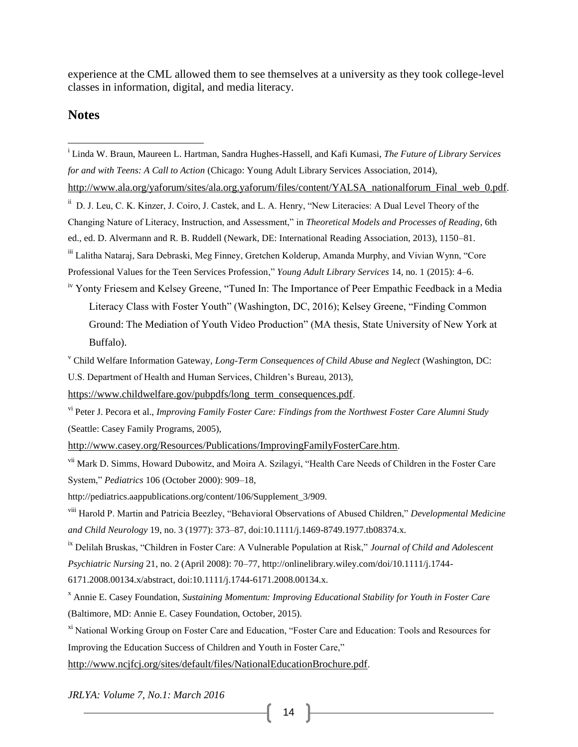experience at the CML allowed them to see themselves at a university as they took college-level classes in information, digital, and media literacy.

#### **Notes**

i Linda W. Braun, Maureen L. Hartman, Sandra Hughes-Hassell, and Kafi Kumasi, *The Future of Library Services for and with Teens: A Call to Action* (Chicago: Young Adult Library Services Association, 2014), [http://www.ala.org/yaforum/sites/ala.org.yaforum/files/content/YALSA\\_nationalforum\\_Final\\_web\\_0.pdf](http://www.ala.org/yaforum/sites/ala.org.yaforum/files/content/YALSA_nationalforum_Final_web_0.pdf). <sup>ii</sup> D. J. Leu, C. K. Kinzer, J. Coiro, J. Castek, and L. A. Henry, "New Literacies: A Dual Level Theory of the Changing Nature of Literacy, Instruction, and Assessment," in *Theoretical Models and Processes of Reading*, 6th ed., ed. D. Alvermann and R. B. Ruddell (Newark, DE: International Reading Association, 2013), 1150–81. iii Lalitha Nataraj, Sara Debraski, Meg Finney, Gretchen Kolderup, Amanda Murphy, and Vivian Wynn, "Core Professional Values for the Teen Services Profession," *Young Adult Library Services* 14, no. 1 (2015): 4–6. <sup>iv</sup> Yonty Friesem and Kelsey Greene, "Tuned In: The Importance of Peer Empathic Feedback in a Media Literacy Class with Foster Youth" (Washington, DC, 2016); Kelsey Greene, "Finding Common Ground: The Mediation of Youth Video Production" (MA thesis, State University of New York at Buffalo). v Child Welfare Information Gateway, *Long-Term Consequences of Child Abuse and Neglect* (Washington, DC: U.S. Department of Health and Human Services, Children's Bureau, 2013), [https://www.childwelfare.gov/pubpdfs/long\\_term\\_consequences.pdf](https://www.childwelfare.gov/pubpdfs/long_term_consequences.pdf). vi Peter J. Pecora et al., *Improving Family Foster Care: Findings from the Northwest Foster Care Alumni Study* (Seattle: Casey Family Programs, 2005), <http://www.casey.org/Resources/Publications/ImprovingFamilyFosterCare.htm>. vii Mark D. Simms, Howard Dubowitz, and Moira A. Szilagyi, "Health Care Needs of Children in the Foster Care System," *Pediatrics* 106 (October 2000): 909–18, http://pediatrics.aappublications.org/content/106/Supplement\_3/909. viii Harold P. Martin and Patricia Beezley, "Behavioral Observations of Abused Children," *Developmental Medicine and Child Neurology* 19, no. 3 (1977): 373–87, doi:10.1111/j.1469-8749.1977.tb08374.x. ix Delilah Bruskas, "Children in Foster Care: A Vulnerable Population at Risk," *Journal of Child and Adolescent Psychiatric Nursing* 21, no. 2 (April 2008): 70–77, http://onlinelibrary.wiley.com/doi/10.1111/j.1744- 6171.2008.00134.x/abstract, doi:10.1111/j.1744-6171.2008.00134.x. <sup>x</sup> Annie E. Casey Foundation, *Sustaining Momentum: Improving Educational Stability for Youth in Foster Care* (Baltimore, MD: Annie E. Casey Foundation, October, 2015). <sup>xi</sup> National Working Group on Foster Care and Education, "Foster Care and Education: Tools and Resources for Improving the Education Success of Children and Youth in Foster Care," <http://www.ncjfcj.org/sites/default/files/NationalEducationBrochure.pdf>.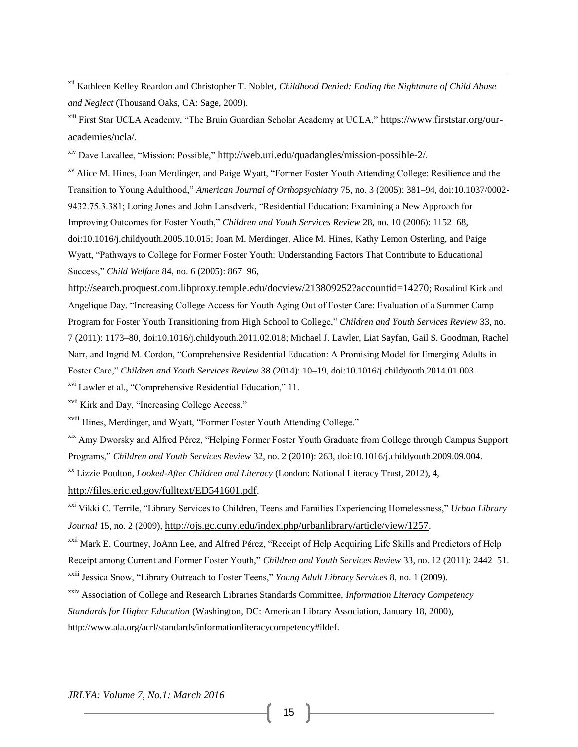xii Kathleen Kelley Reardon and Christopher T. Noblet, *Childhood Denied: Ending the Nightmare of Child Abuse and Neglect* (Thousand Oaks, CA: Sage, 2009).

<sup>xiii</sup> First Star UCLA Academy, "The Bruin Guardian Scholar Academy at UCLA," [https://www.firststar.org/our](https://www.firststar.org/our-academies/ucla/)[academies/ucla/](https://www.firststar.org/our-academies/ucla/).

xiv Dave Lavallee, "Mission: Possible," <http://web.uri.edu/quadangles/mission-possible-2/>.

xv Alice M. Hines, Joan Merdinger, and Paige Wyatt, "Former Foster Youth Attending College: Resilience and the Transition to Young Adulthood," *American Journal of Orthopsychiatry* 75, no. 3 (2005): 381–94, doi:10.1037/0002- 9432.75.3.381; Loring Jones and John Lansdverk, "Residential Education: Examining a New Approach for Improving Outcomes for Foster Youth," *Children and Youth Services Review* 28, no. 10 (2006): 1152–68, doi:10.1016/j.childyouth.2005.10.015; Joan M. Merdinger, Alice M. Hines, Kathy Lemon Osterling, and Paige Wyatt, "Pathways to College for Former Foster Youth: Understanding Factors That Contribute to Educational Success," *Child Welfare* 84, no. 6 (2005): 867–96,

<http://search.proquest.com.libproxy.temple.edu/docview/213809252?accountid=14270>; Rosalind Kirk and Angelique Day. "Increasing College Access for Youth Aging Out of Foster Care: Evaluation of a Summer Camp Program for Foster Youth Transitioning from High School to College," *Children and Youth Services Review* 33, no. 7 (2011): 1173–80, doi:10.1016/j.childyouth.2011.02.018; Michael J. Lawler, Liat Sayfan, Gail S. Goodman, Rachel Narr, and Ingrid M. Cordon, "Comprehensive Residential Education: A Promising Model for Emerging Adults in Foster Care," *Children and Youth Services Review* 38 (2014): 10–19, doi:10.1016/j.childyouth.2014.01.003.

xvi Lawler et al., "Comprehensive Residential Education," 11.

xvii Kirk and Day, "Increasing College Access."

xviii Hines, Merdinger, and Wyatt, "Former Foster Youth Attending College."

xix Amy Dworsky and Alfred Pérez, "Helping Former Foster Youth Graduate from College through Campus Support Programs," *Children and Youth Services Review* 32, no. 2 (2010): 263, doi:10.1016/j.childyouth.2009.09.004.

xx Lizzie Poulton, *Looked-After Children and Literacy* (London: National Literacy Trust, 2012), 4,

<http://files.eric.ed.gov/fulltext/ED541601.pdf>.

xxi Vikki C. Terrile, "Library Services to Children, Teens and Families Experiencing Homelessness," *Urban Library Journal* 15, no. 2 (2009), <http://ojs.gc.cuny.edu/index.php/urbanlibrary/article/view/1257>.

xxii Mark E. Courtney, JoAnn Lee, and Alfred Pérez, "Receipt of Help Acquiring Life Skills and Predictors of Help Receipt among Current and Former Foster Youth," *Children and Youth Services Review* 33, no. 12 (2011): 2442–51.

xxiii Jessica Snow, "Library Outreach to Foster Teens," *Young Adult Library Services* 8, no. 1 (2009).

xxiv Association of College and Research Libraries Standards Committee, *Information Literacy Competency Standards for Higher Education* (Washington, DC: American Library Association, January 18, 2000), http://www.ala.org/acrl/standards/informationliteracycompetency#ildef.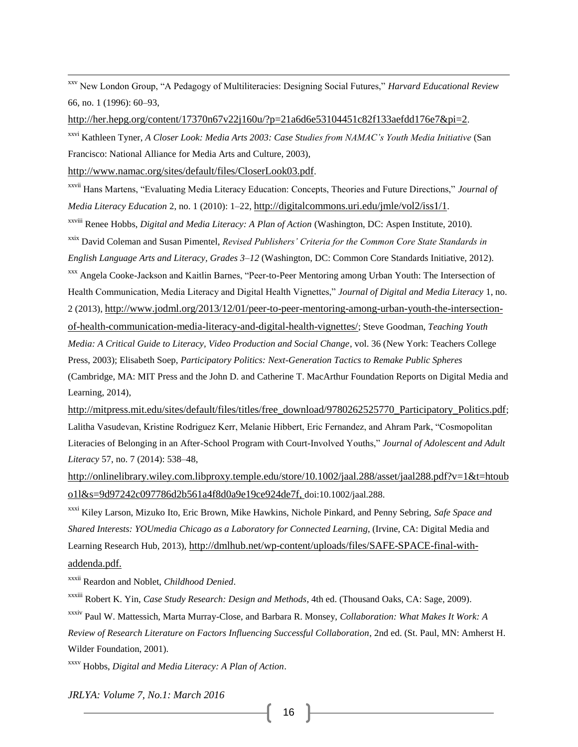xxv New London Group, "A Pedagogy of Multiliteracies: Designing Social Futures," *Harvard Educational Review* 66, no. 1 (1996): 60–93,

<http://her.hepg.org/content/17370n67v22j160u/?p=21a6d6e53104451c82f133aefdd176e7&pi=2>.

xxvi Kathleen Tyner, *A Closer Look: Media Arts 2003: Case Studies from NAMAC's Youth Media Initiative* (San Francisco: National Alliance for Media Arts and Culture, 2003),

<http://www.namac.org/sites/default/files/CloserLook03.pdf>.

xxvii Hans Martens, "Evaluating Media Literacy Education: Concepts, Theories and Future Directions," *Journal of Media Literacy Education* 2, no. 1 (2010): 1–22, <http://digitalcommons.uri.edu/jmle/vol2/iss1/1>.

xxviii Renee Hobbs, *Digital and Media Literacy: A Plan of Action* (Washington, DC: Aspen Institute, 2010).

xxix David Coleman and Susan Pimentel, *Revised Publishers' Criteria for the Common Core State Standards in* 

*English Language Arts and Literacy, Grades 3–12* (Washington, DC: Common Core Standards Initiative, 2012).

xxx Angela Cooke-Jackson and Kaitlin Barnes, "Peer-to-Peer Mentoring among Urban Youth: The Intersection of

Health Communication, Media Literacy and Digital Health Vignettes," *Journal of Digital and Media Literacy* 1, no.

2 (2013), [http://www.jodml.org/2013/12/01/peer-to-peer-mentoring-among-urban-youth-the-intersection-](http://www.jodml.org/2013/12/01/peer-to-peer-mentoring-among-urban-youth-the-intersection-of-health-communication-media-literacy-and-digital-health-vignettes/)

[of-health-communication-media-literacy-and-digital-health-vignettes/](http://www.jodml.org/2013/12/01/peer-to-peer-mentoring-among-urban-youth-the-intersection-of-health-communication-media-literacy-and-digital-health-vignettes/); Steve Goodman, *Teaching Youth* 

*Media: A Critical Guide to Literacy, Video Production and Social Change*, vol. 36 (New York: Teachers College

Press, 2003); Elisabeth Soep, *Participatory Politics: Next-Generation Tactics to Remake Public Spheres*

(Cambridge, MA: MIT Press and the John D. and Catherine T. MacArthur Foundation Reports on Digital Media and Learning, 2014),

[http://mitpress.mit.edu/sites/default/files/titles/free\\_download/9780262525770\\_Participatory\\_Politics.pdf](http://mitpress.mit.edu/sites/default/files/titles/free_download/9780262525770_Participatory_Politics.pdf); Lalitha Vasudevan, Kristine Rodriguez Kerr, Melanie Hibbert, Eric Fernandez, and Ahram Park, "Cosmopolitan Literacies of Belonging in an After-School Program with Court-Involved Youths," *Journal of Adolescent and Adult Literacy* 57, no. 7 (2014): 538–48,

[http://onlinelibrary.wiley.com.libproxy.temple.edu/store/10.1002/jaal.288/asset/jaal288.pdf?v=1&t=htoub](http://onlinelibrary.wiley.com.libproxy.temple.edu/store/10.1002/jaal.288/asset/jaal288.pdf?v=1&t=htoubo1l&s=9d97242c097786d2b561a4f8d0a9e19ce924de7f) [o1l&s=9d97242c097786d2b561a4f8d0a9e19ce924de7f,](http://onlinelibrary.wiley.com.libproxy.temple.edu/store/10.1002/jaal.288/asset/jaal288.pdf?v=1&t=htoubo1l&s=9d97242c097786d2b561a4f8d0a9e19ce924de7f) doi:10.1002/jaal.288.

xxxi Kiley Larson, Mizuko Ito, Eric Brown, Mike Hawkins, Nichole Pinkard, and Penny Sebring, *Safe Space and Shared Interests: YOUmedia Chicago as a Laboratory for Connected Learning*, (Irvine, CA: Digital Media and Learning Research Hub, 2013), [http://dmlhub.net/wp-content/uploads/files/SAFE-SPACE-final-with](http://dmlhub.net/wp-content/uploads/files/SAFE-SPACE-final-with-addenda.pdf)[addenda.pdf.](http://dmlhub.net/wp-content/uploads/files/SAFE-SPACE-final-with-addenda.pdf)

xxxii Reardon and Noblet, *Childhood Denied*.

xxxiii Robert K. Yin, *Case Study Research: Design and Methods*, 4th ed. (Thousand Oaks, CA: Sage, 2009).

xxxiv Paul W. Mattessich, Marta Murray-Close, and Barbara R. Monsey, *Collaboration: What Makes It Work: A Review of Research Literature on Factors Influencing Successful Collaboration*, 2nd ed. (St. Paul, MN: Amherst H. Wilder Foundation, 2001).

xxxv Hobbs, *Digital and Media Literacy: A Plan of Action*.